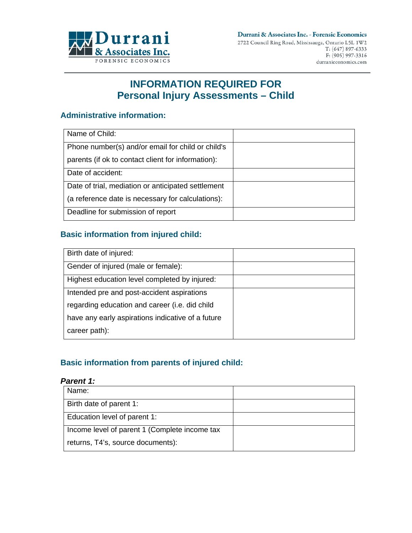

# **INFORMATION REQUIRED FOR Personal Injury Assessments – Child**

# **Administrative information:**

| Name of Child:                                     |  |
|----------------------------------------------------|--|
| Phone number(s) and/or email for child or child's  |  |
| parents (if ok to contact client for information): |  |
| Date of accident:                                  |  |
| Date of trial, mediation or anticipated settlement |  |
| (a reference date is necessary for calculations):  |  |
| Deadline for submission of report                  |  |

# **Basic information from injured child:**

| Birth date of injured:                            |  |
|---------------------------------------------------|--|
| Gender of injured (male or female):               |  |
| Highest education level completed by injured:     |  |
| Intended pre and post-accident aspirations        |  |
| regarding education and career (i.e. did child    |  |
| have any early aspirations indicative of a future |  |
| career path):                                     |  |

# **Basic information from parents of injured child:**

#### *Parent 1:*

| Name:                                         |  |
|-----------------------------------------------|--|
| Birth date of parent 1:                       |  |
| Education level of parent 1:                  |  |
| Income level of parent 1 (Complete income tax |  |
| returns, T4's, source documents):             |  |